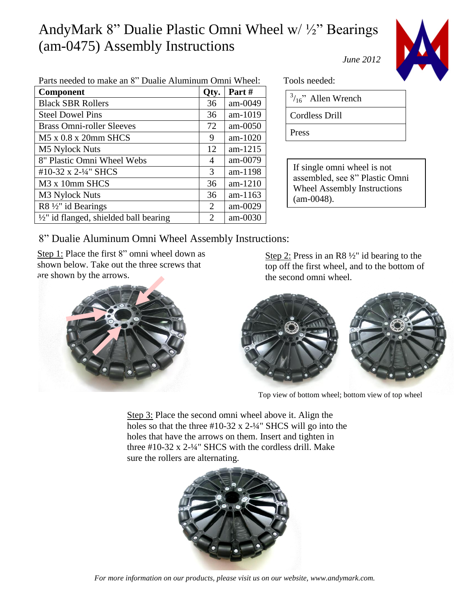## AndyMark 8" Dualie Plastic Omni Wheel w/ ½" Bearings (am-0475) Assembly Instructions *June 2012*



| Parts needed to make an 8" Dualie Aluminum Omni Wheel: |                             |            |  |
|--------------------------------------------------------|-----------------------------|------------|--|
| <b>Component</b>                                       | Qty.                        | Part#      |  |
| <b>Black SBR Rollers</b>                               | 36                          | $am-0049$  |  |
| <b>Steel Dowel Pins</b>                                | 36                          | am-1019    |  |
| <b>Brass Omni-roller Sleeves</b>                       | 72                          | $am-0050$  |  |
| $M5 \times 0.8 \times 20$ mm SHCS                      | 9                           | $am-1020$  |  |
| M5 Nylock Nuts                                         | 12                          | $am-1215$  |  |
| 8" Plastic Omni Wheel Webs                             | 4                           | $am-0079$  |  |
| #10-32 x 2- $\frac{1}{4}$ " SHCS                       | 3                           | am-1198    |  |
| M <sub>3</sub> x 10 <sub>mm</sub> SHCS                 | 36                          | $am-1210$  |  |
| M <sub>3</sub> Nylock Nuts                             | 36                          | am- $1163$ |  |
| R8 1/2" id Bearings                                    | $\mathcal{D}_{\mathcal{L}}$ | am-0029    |  |
| $\frac{1}{2}$ " id flanged, shielded ball bearing      | 2                           | $am-0030$  |  |
|                                                        |                             |            |  |

Tools needed:

| $3/16$ " Allen Wrench |  |
|-----------------------|--|
|-----------------------|--|

Cordless Drill

Press

If single omni wheel is not assembled, see 8" Plastic Omni Wheel Assembly Instructions (am-0048).

## 8" Dualie Aluminum Omni Wheel Assembly Instructions:

Step 1: Place the first 8" omni wheel down as shown below. Take out the three screws that are shown by the arrows.



Step 2: Press in an R8 ½" id bearing to the top off the first wheel, and to the bottom of the second omni wheel.



Top view of bottom wheel; bottom view of top wheel

Step 3: Place the second omni wheel above it. Align the holes so that the three  $#10-32 \times 2-4$ <sup>"</sup> SHCS will go into the holes that have the arrows on them. Insert and tighten in three #10-32 x 2-¼" SHCS with the cordless drill. Make sure the rollers are alternating.



*For more information on our products, please visit us on our website, www.andymark.com.*